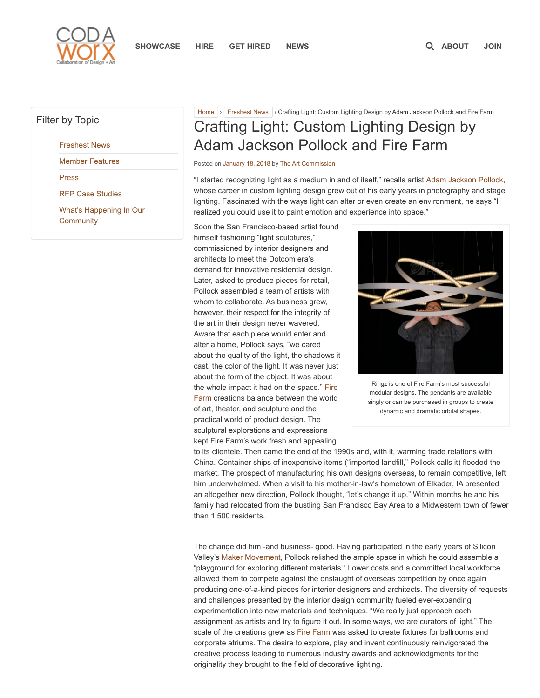

## Filter by Topic

[Freshest News](https://www.codaworx.com/news/category/freshest-news/)

[Member Features](https://www.codaworx.com/news/category/member-features/)

[Press](https://www.codaworx.com/news/category/latest-news/)

[RFP Case Studies](https://www.codaworx.com/news/category/case-studies/)

[What's Happening In Our](https://www.codaworx.com/news/category/whats-happening/) **Community** 

# [Home](https://www.codaworx.com/news/) > [Freshest News](https://www.codaworx.com/news/category/freshest-news/) > Crafting Light: Custom Lighting Design by Adam Jackson Pollock and Fire Farm Crafting Light: Custom Lighting Design by Adam Jackson Pollock and Fire Farm

Posted on [January 18, 2018](https://www.codaworx.com/news/freshest-news/crafting-light-custom-lighting-design-adam-jackson-pollock-fire-farm/) by [The Art Commission](https://www.codaworx.com/news/author/tac/)

"I started recognizing light as a medium in and of itself," recalls artist [Adam Jackson Pollock,](https://www.firefarm.com/) whose career in custom lighting design grew out of his early years in photography and stage lighting. Fascinated with the ways light can alter or even create an environment, he says "I realized you could use it to paint emotion and experience into space."

Soon the San Francisco-based artist found himself fashioning "light sculptures," commissioned by interior designers and architects to meet the Dotcom era's demand for innovative residential design. Later, asked to produce pieces for retail, Pollock assembled a team of artists with whom to collaborate. As business grew, however, their respect for the integrity of the art in their design never wavered. Aware that each piece would enter and alter a home, Pollock says, "we cared about the quality of the light, the shadows it cast, the color of the light. It was never just about the form of the object. It was about [the whole impact it had on the space." Fire](https://www.firefarm.com/) Farm creations balance between the world of art, theater, and sculpture and the practical world of product design. The sculptural explorations and expressions kept Fire Farm's work fresh and appealing



Ringz is one of Fire Farm's most successful modular designs. The pendants are available singly or can be purchased in groups to create dynamic and dramatic orbital shapes.

to its clientele. Then came the end of the 1990s and, with it, warming trade relations with China. Container ships of inexpensive items ("imported landfill," Pollock calls it) flooded the market. The prospect of manufacturing his own designs overseas, to remain competitive, left him underwhelmed. When a visit to his mother-in-law's hometown of Elkader, IA presented an altogether new direction, Pollock thought, "let's change it up." Within months he and his family had relocated from the bustling San Francisco Bay Area to a Midwestern town of fewer than 1,500 residents.

The change did him -and business- good. Having participated in the early years of Silicon Valley's [Maker Movement](http://time.com/104210/maker-faire-maker-movement/), Pollock relished the ample space in which he could assemble a "playground for exploring different materials." Lower costs and a committed local workforce allowed them to compete against the onslaught of overseas competition by once again producing one-of-a-kind pieces for interior designers and architects. The diversity of requests and challenges presented by the interior design community fueled ever-expanding experimentation into new materials and techniques. "We really just approach each assignment as artists and try to figure it out. In some ways, we are curators of light." The scale of the creations grew as [Fire Farm](https://www.codaworx.com/industryprofile/fire-farm-lighting/8164) was asked to create fixtures for ballrooms and corporate atriums. The desire to explore, play and invent continuously reinvigorated the creative process leading to numerous industry awards and acknowledgments for the originality they brought to the field of decorative lighting.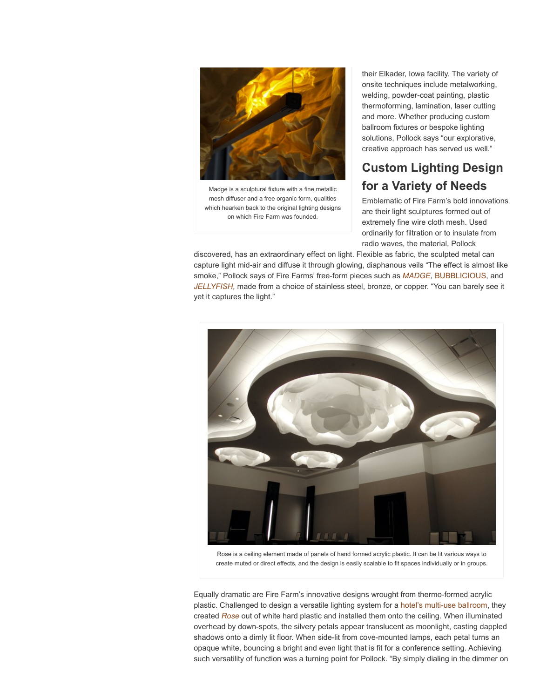

Madge is a sculptural fixture with a fine metallic mesh diffuser and a free organic form, qualities which hearken back to the original lighting designs on which Fire Farm was founded.

their Elkader, Iowa facility. The variety of onsite techniques include metalworking, welding, powder-coat painting, plastic thermoforming, lamination, laser cutting and more. Whether producing custom ballroom fixtures or bespoke lighting solutions, Pollock says "our explorative, creative approach has served us well."

# Custom Lighting Design for a Variety of Needs

Emblematic of Fire Farm's bold innovations are their light sculptures formed out of extremely fine wire cloth mesh. Used ordinarily for filtration or to insulate from radio waves, the material, Pollock

discovered, has an extraordinary effect on light. Flexible as fabric, the sculpted metal can capture light mid-air and diffuse it through glowing, diaphanous veils "The effect is almost like smoke," Pollock says of Fire Farms' free-form pieces such as **[MADGE](https://www.firefarm.com/madge-4300)**, [BUBBLICIOUS,](https://www.codaworx.com/project/bubblicious-le-sport) and [JELLYFISH](https://www.codaworx.com/project/jellyfish-pelican-bay-hotel), made from a choice of stainless steel, bronze, or copper. "You can barely see it yet it captures the light."



Rose is a ceiling element made of panels of hand formed acrylic plastic. It can be lit various ways to create muted or direct effects, and the design is easily scalable to fit spaces individually or in groups.

Equally dramatic are Fire Farm's innovative designs wrought from thermo-formed acrylic plastic. Challenged to design a versatile lighting system for a [hotel's multi-use ballroom,](https://www.firefarm.com/rose-ceiling-element) they created [Rose](https://www.codaworx.com/project/rose-intercontinental-rosemont-hotel) out of white hard plastic and installed them onto the ceiling. When illuminated overhead by down-spots, the silvery petals appear translucent as moonlight, casting dappled shadows onto a dimly lit floor. When side-lit from cove-mounted lamps, each petal turns an opaque white, bouncing a bright and even light that is fit for a conference setting. Achieving such versatility of function was a turning point for Pollock. "By simply dialing in the dimmer on